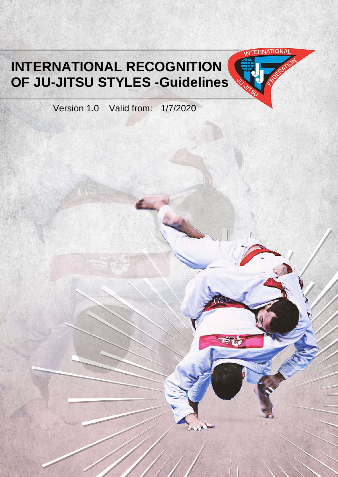# **INTERNATIONAL RECOGNITION OF JU-JITSU STYLES -Guidelines**



Version 1.0 Valid from: 1/7/2020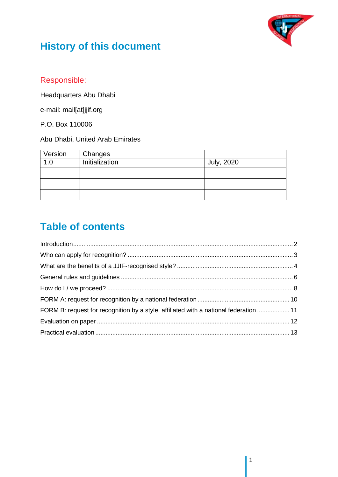

## **History of this document**

## Responsible:

Headquarters Abu Dhabi

e-mail: mail[at]jjif.org

P.O. Box 110006

Abu Dhabi, United Arab Emirates

| Version | Changes        |                   |
|---------|----------------|-------------------|
| 1.0     | Initialization | <b>July, 2020</b> |
|         |                |                   |
|         |                |                   |
|         |                |                   |

## **Table of contents**

| FORM B: request for recognition by a style, affiliated with a national federation  11 |  |
|---------------------------------------------------------------------------------------|--|
|                                                                                       |  |
|                                                                                       |  |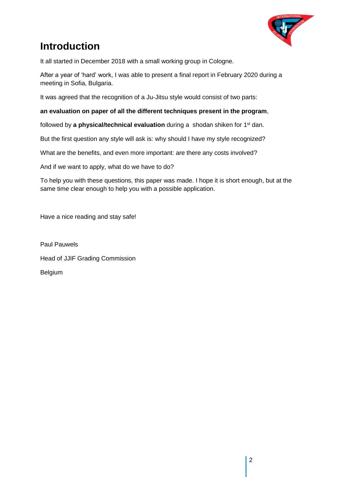

## <span id="page-2-0"></span>**Introduction**

It all started in December 2018 with a small working group in Cologne.

After a year of 'hard' work, I was able to present a final report in February 2020 during a meeting in Sofia, Bulgaria.

It was agreed that the recognition of a Ju-Jitsu style would consist of two parts:

#### **an evaluation on paper of all the different techniques present in the program**,

followed by **a physical/technical evaluation** during a shodan shiken for 1st dan.

But the first question any style will ask is: why should I have my style recognized?

What are the benefits, and even more important: are there any costs involved?

And if we want to apply, what do we have to do?

To help you with these questions, this paper was made. I hope it is short enough, but at the same time clear enough to help you with a possible application.

Have a nice reading and stay safe!

Paul Pauwels Head of JJIF Grading Commission Belgium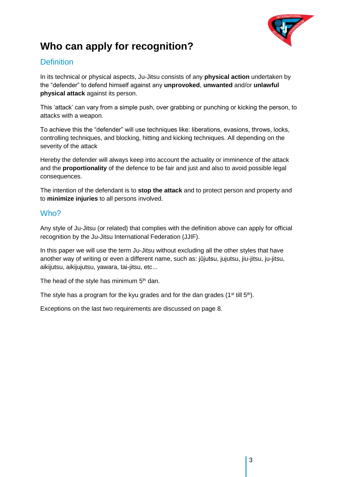

## <span id="page-3-0"></span>**Who can apply for recognition?**

### **Definition**

In its technical or physical aspects, Ju-Jitsu consists of any **physical action** undertaken by the "defender" to defend himself against any **unprovoked**, **unwanted** and/or **unlawful physical attack** against its person.

This 'attack' can vary from a simple push, over grabbing or punching or kicking the person, to attacks with a weapon.

To achieve this the "defender" will use techniques like: liberations, evasions, throws, locks, controlling techniques, and blocking, hitting and kicking techniques. All depending on the severity of the attack

Hereby the defender will always keep into account the actuality or imminence of the attack and the **proportionality** of the defence to be fair and just and also to avoid possible legal consequences.

The intention of the defendant is to **stop the attack** and to protect person and property and to **minimize injuries** to all persons involved.

#### Who?

Any style of Ju-Jitsu (or related) that complies with the definition above can apply for official recognition by the Ju-Jitsu International Federation (JJIF).

In this paper we will use the term Ju-Jitsu without excluding all the other styles that have another way of writing or even a different name, such as: jūjutsu, jujutsu, jiu-jitsu, ju-jitsu, aikijutsu, aikijujutsu, yawara, tai-jitsu, etc...

The head of the style has minimum 5<sup>th</sup> dan.

The style has a program for the kyu grades and for the dan grades (1<sup>st</sup> till  $5<sup>th</sup>$ ).

Exceptions on the last two requirements are discussed on page 8.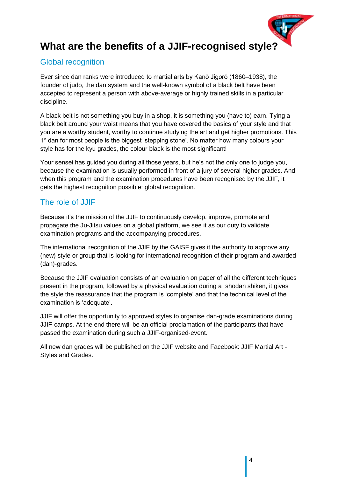# <span id="page-4-0"></span>**What are the benefits of a JJIF-recognised style?**

### Global recognition

Ever since dan ranks were introduced to martial arts by Kanō Jigorō (1860–1938), the founder of judo, the dan system and the well-known symbol of a black belt have been accepted to represent a person with above-average or highly trained skills in a particular discipline.

A black belt is not something you buy in a shop, it is something you (have to) earn. Tying a black belt around your waist means that you have covered the basics of your style and that you are a worthy student, worthy to continue studying the art and get higher promotions. This 1° dan for most people is the biggest 'stepping stone'. No matter how many colours your style has for the kyu grades, the colour black is the most significant!

Your sensei has guided you during all those years, but he's not the only one to judge you, because the examination is usually performed in front of a jury of several higher grades. And when this program and the examination procedures have been recognised by the JJIF, it gets the highest recognition possible: global recognition.

### The role of JJIF

Because it's the mission of the JJIF to continuously develop, improve, promote and propagate the Ju-Jitsu values on a global platform, we see it as our duty to validate examination programs and the accompanying procedures.

The international recognition of the JJIF by the GAISF gives it the authority to approve any (new) style or group that is looking for international recognition of their program and awarded (dan)-grades.

Because the JJIF evaluation consists of an evaluation on paper of all the different techniques present in the program, followed by a physical evaluation during a shodan shiken, it gives the style the reassurance that the program is 'complete' and that the technical level of the examination is 'adequate'.

JJIF will offer the opportunity to approved styles to organise dan-grade examinations during JJIF-camps. At the end there will be an official proclamation of the participants that have passed the examination during such a JJIF-organised-event.

All new dan grades will be published on the JJIF website and Facebook: JJIF Martial Art - Styles and Grades.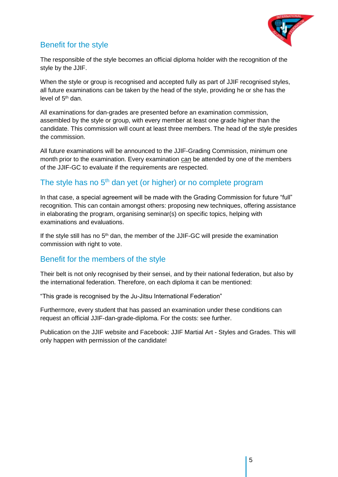

### Benefit for the style

The responsible of the style becomes an official diploma holder with the recognition of the style by the JJIF.

When the style or group is recognised and accepted fully as part of JJIF recognised styles, all future examinations can be taken by the head of the style, providing he or she has the level of 5th dan.

All examinations for dan-grades are presented before an examination commission, assembled by the style or group, with every member at least one grade higher than the candidate. This commission will count at least three members. The head of the style presides the commission.

All future examinations will be announced to the JJIF-Grading Commission, minimum one month prior to the examination. Every examination can be attended by one of the members of the JJIF-GC to evaluate if the requirements are respected.

### The style has no 5<sup>th</sup> dan yet (or higher) or no complete program

In that case, a special agreement will be made with the Grading Commission for future "full" recognition. This can contain amongst others: proposing new techniques, offering assistance in elaborating the program, organising seminar(s) on specific topics, helping with examinations and evaluations.

If the style still has no  $5<sup>th</sup>$  dan, the member of the JJIF-GC will preside the examination commission with right to vote.

#### Benefit for the members of the style

Their belt is not only recognised by their sensei, and by their national federation, but also by the international federation. Therefore, on each diploma it can be mentioned:

"This grade is recognised by the Ju-Jitsu International Federation"

Furthermore, every student that has passed an examination under these conditions can request an official JJIF-dan-grade-diploma. For the costs: see further.

Publication on the JJIF website and Facebook: JJIF Martial Art - Styles and Grades. This will only happen with permission of the candidate!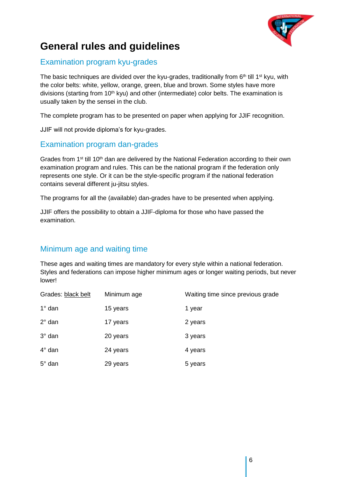

## <span id="page-6-0"></span>**General rules and guidelines**

#### Examination program kyu-grades

The basic techniques are divided over the kyu-grades, traditionally from  $6<sup>th</sup>$  till 1<sup>st</sup> kyu, with the color belts: white, yellow, orange, green, blue and brown. Some styles have more divisions (starting from 10<sup>th</sup> kyu) and other (intermediate) color belts. The examination is usually taken by the sensei in the club.

The complete program has to be presented on paper when applying for JJIF recognition.

JJIF will not provide diploma's for kyu-grades.

### Examination program dan-grades

Grades from 1<sup>st</sup> till 10<sup>th</sup> dan are delivered by the National Federation according to their own examination program and rules. This can be the national program if the federation only represents one style. Or it can be the style-specific program if the national federation contains several different ju-jitsu styles.

The programs for all the (available) dan-grades have to be presented when applying.

JJIF offers the possibility to obtain a JJIF-diploma for those who have passed the examination.

### Minimum age and waiting time

These ages and waiting times are mandatory for every style within a national federation. Styles and federations can impose higher minimum ages or longer waiting periods, but never lower!

| Grades: black belt | Minimum age | Waiting time since previous grade |
|--------------------|-------------|-----------------------------------|
| $1^\circ$ dan      | 15 years    | 1 year                            |
| $2^{\circ}$ dan    | 17 years    | 2 years                           |
| $3^\circ$ dan      | 20 years    | 3 years                           |
| $4^\circ$ dan      | 24 years    | 4 years                           |
| $5^\circ$ dan      | 29 years    | 5 years                           |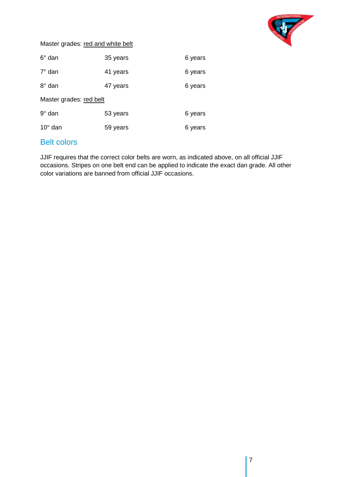

#### Master grades: red and white belt

| $6^\circ$ dan           | 35 years | 6 years |
|-------------------------|----------|---------|
| $7^\circ$ dan           | 41 years | 6 years |
| 8° dan                  | 47 years | 6 years |
| Master grades: red belt |          |         |
| $9^\circ$ dan           | 53 years | 6 years |
| $10^{\circ}$ dan        | 59 years | 6 years |

### Belt colors

JJIF requires that the correct color belts are worn, as indicated above, on all official JJIF occasions. Stripes on one belt end can be applied to indicate the exact dan grade. All other color variations are banned from official JJIF occasions.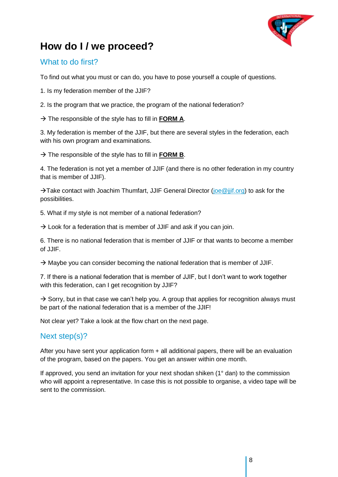

## <span id="page-8-0"></span>**How do I / we proceed?**

### What to do first?

To find out what you must or can do, you have to pose yourself a couple of questions.

- 1. Is my federation member of the JJIF?
- 2. Is the program that we practice, the program of the national federation?

→ The responsible of the style has to fill in **FORM A**.

3. My federation is member of the JJIF, but there are several styles in the federation, each with his own program and examinations.

→ The responsible of the style has to fill in **FORM B**.

4. The federation is not yet a member of JJIF (and there is no other federation in my country that is member of JJIF).

→Take contact with Joachim Thumfart, JJIF General Director [\(joe@jjif.org\)](mailto:joe@jjif.org) to ask for the possibilities.

5. What if my style is not member of a national federation?

 $\rightarrow$  Look for a federation that is member of JJIF and ask if you can join.

6. There is no national federation that is member of JJIF or that wants to become a member of JJIF.

 $\rightarrow$  Maybe you can consider becoming the national federation that is member of JJIF.

7. If there is a national federation that is member of JJIF, but I don't want to work together with this federation, can I get recognition by JJIF?

 $\rightarrow$  Sorry, but in that case we can't help you. A group that applies for recognition always must be part of the national federation that is a member of the JJIF!

Not clear yet? Take a look at the flow chart on the next page.

### Next step(s)?

After you have sent your application form  $+$  all additional papers, there will be an evaluation of the program, based on the papers. You get an answer within one month.

If approved, you send an invitation for your next shodan shiken (1° dan) to the commission who will appoint a representative. In case this is not possible to organise, a video tape will be sent to the commission.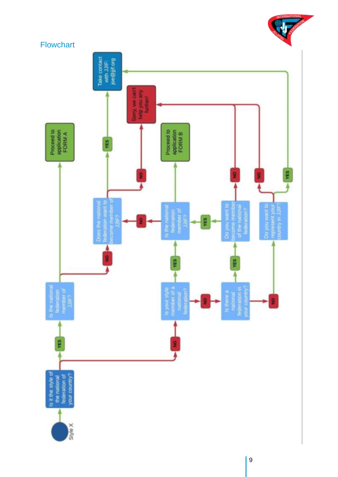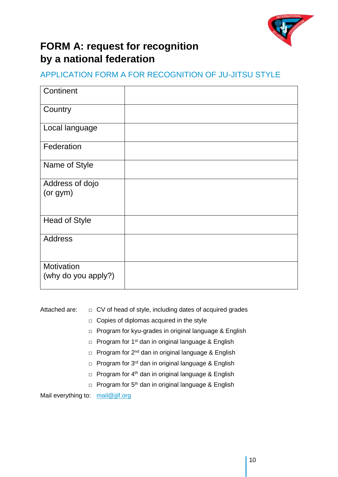

## <span id="page-10-0"></span>**FORM A: request for recognition by a national federation**

### APPLICATION FORM A FOR RECOGNITION OF JU-JITSU STYLE

| Continent                         |  |
|-----------------------------------|--|
| Country                           |  |
| Local language                    |  |
| Federation                        |  |
| Name of Style                     |  |
| Address of dojo<br>(or gym)       |  |
|                                   |  |
| <b>Head of Style</b>              |  |
| <b>Address</b>                    |  |
| Motivation<br>(why do you apply?) |  |

Attached are:  $\Box$  CV of head of style, including dates of acquired grades

- $\Box$  Copies of diplomas acquired in the style
- □ Program for kyu-grades in original language & English
- □ Program for 1<sup>st</sup> dan in original language & English
- □ Program for 2<sup>nd</sup> dan in original language & English
- $\Box$  Program for 3<sup>rd</sup> dan in original language & English
- $\Box$  Program for 4<sup>th</sup> dan in original language & English
- □ Program for 5<sup>th</sup> dan in original language & English

Mail everything to: [mail@jjif.org](mailto:mail@jjif.org)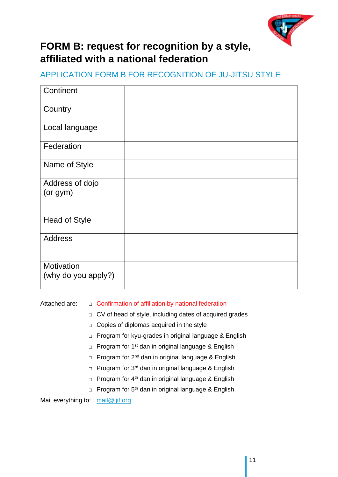

## <span id="page-11-0"></span>**FORM B: request for recognition by a style, affiliated with a national federation**

### APPLICATION FORM B FOR RECOGNITION OF JU-JITSU STYLE

| Continent                         |  |
|-----------------------------------|--|
| Country                           |  |
| Local language                    |  |
| Federation                        |  |
| Name of Style                     |  |
| Address of dojo<br>$(or gym)$     |  |
| <b>Head of Style</b>              |  |
| <b>Address</b>                    |  |
| Motivation<br>(why do you apply?) |  |

#### Attached are: □ Confirmation of affiliation by national federation

- □ CV of head of style, including dates of acquired grades
- □ Copies of diplomas acquired in the style
- □ Program for kyu-grades in original language & English
- □ Program for 1<sup>st</sup> dan in original language & English
- $\Box$  Program for 2<sup>nd</sup> dan in original language & English
- □ Program for 3<sup>rd</sup> dan in original language & English
- □ Program for 4<sup>th</sup> dan in original language & English
- $\Box$  Program for 5<sup>th</sup> dan in original language & English

<span id="page-11-1"></span>Mail everything to: [mail@jjif.org](mailto:mail@jjif.org)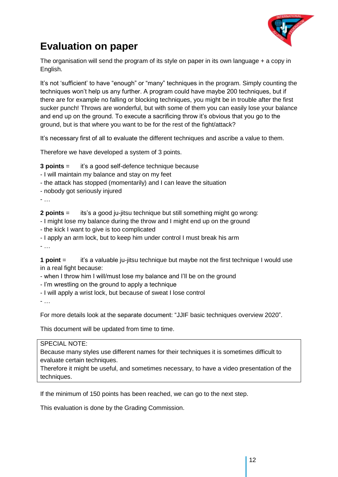

## **Evaluation on paper**

The organisation will send the program of its style on paper in its own language + a copy in English.

It's not 'sufficient' to have "enough" or "many" techniques in the program. Simply counting the techniques won't help us any further. A program could have maybe 200 techniques, but if there are for example no falling or blocking techniques, you might be in trouble after the first sucker punch! Throws are wonderful, but with some of them you can easily lose your balance and end up on the ground. To execute a sacrificing throw it's obvious that you go to the ground, but is that where you want to be for the rest of the fight/attack?

It's necessary first of all to evaluate the different techniques and ascribe a value to them.

Therefore we have developed a system of 3 points.

**3 points** = it's a good self-defence technique because

- I will maintain my balance and stay on my feet
- the attack has stopped (momentarily) and I can leave the situation
- nobody got seriously injured

- …

**2 points** = its's a good ju-jitsu technique but still something might go wrong:

- I might lose my balance during the throw and I might end up on the ground
- the kick I want to give is too complicated
- I apply an arm lock, but to keep him under control I must break his arm

- …

**1 point** = it's a valuable ju-jitsu technique but maybe not the first technique I would use in a real fight because:

- when I throw him I will/must lose my balance and I'll be on the ground
- I'm wrestling on the ground to apply a technique
- I will apply a wrist lock, but because of sweat I lose control

- …

For more details look at the separate document: "JJIF basic techniques overview 2020".

This document will be updated from time to time.

#### SPECIAL NOTE:

Because many styles use different names for their techniques it is sometimes difficult to evaluate certain techniques.

Therefore it might be useful, and sometimes necessary, to have a video presentation of the techniques.

If the minimum of 150 points has been reached, we can go to the next step.

This evaluation is done by the Grading Commission.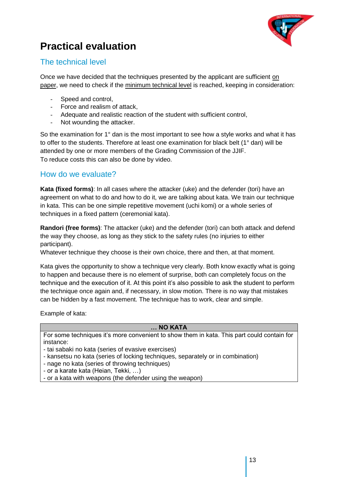

## <span id="page-13-0"></span>**Practical evaluation**

### The technical level

Once we have decided that the techniques presented by the applicant are sufficient on paper, we need to check if the minimum technical level is reached, keeping in consideration:

- Speed and control,
- Force and realism of attack,
- Adequate and realistic reaction of the student with sufficient control,
- Not wounding the attacker.

So the examination for 1<sup>°</sup> dan is the most important to see how a style works and what it has to offer to the students. Therefore at least one examination for black belt (1° dan) will be attended by one or more members of the Grading Commission of the JJIF. To reduce costs this can also be done by video.

#### How do we evaluate?

**Kata (fixed forms)**: In all cases where the attacker (uke) and the defender (tori) have an agreement on what to do and how to do it, we are talking about kata. We train our technique in kata. This can be one simple repetitive movement (uchi komi) or a whole series of techniques in a fixed pattern (ceremonial kata).

**Randori (free forms)**: The attacker (uke) and the defender (tori) can both attack and defend the way they choose, as long as they stick to the safety rules (no injuries to either participant).

Whatever technique they choose is their own choice, there and then, at that moment.

Kata gives the opportunity to show a technique very clearly. Both know exactly what is going to happen and because there is no element of surprise, both can completely focus on the technique and the execution of it. At this point it's also possible to ask the student to perform the technique once again and, if necessary, in slow motion. There is no way that mistakes can be hidden by a fast movement. The technique has to work, clear and simple.

Example of kata:

#### **… NO KATA**

For some techniques it's more convenient to show them in kata. This part could contain for instance:

- tai sabaki no kata (series of evasive exercises)
- kansetsu no kata (series of locking techniques, separately or in combination)
- nage no kata (series of throwing techniques)
- or a karate kata (Heian, Tekki, …)
- or a kata with weapons (the defender using the weapon)